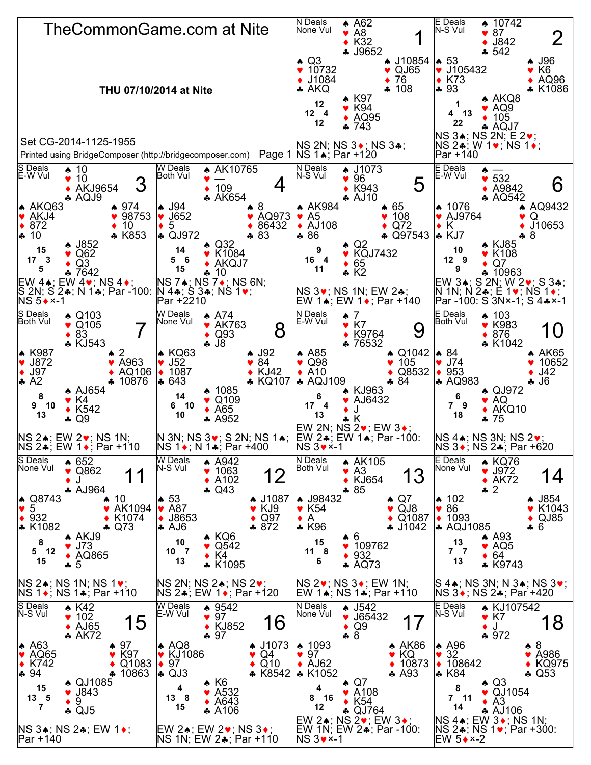